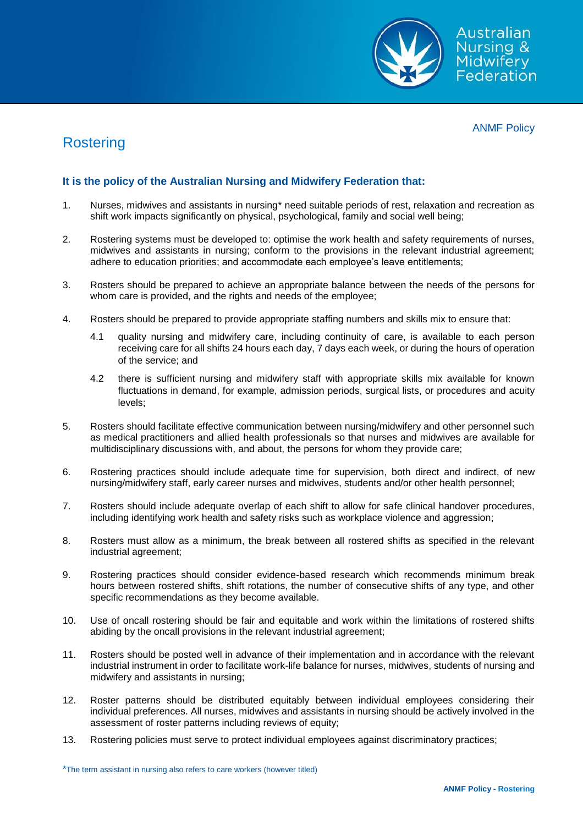

## ANMF Policy

## **Rostering**

## **It is the policy of the Australian Nursing and Midwifery Federation that:**

- 1. Nurses, midwives and assistants in nursing\* need suitable periods of rest, relaxation and recreation as shift work impacts significantly on physical, psychological, family and social well being;
- 2. Rostering systems must be developed to: optimise the work health and safety requirements of nurses, midwives and assistants in nursing; conform to the provisions in the relevant industrial agreement; adhere to education priorities; and accommodate each employee's leave entitlements;
- 3. Rosters should be prepared to achieve an appropriate balance between the needs of the persons for whom care is provided, and the rights and needs of the employee;
- 4. Rosters should be prepared to provide appropriate staffing numbers and skills mix to ensure that:
	- 4.1 quality nursing and midwifery care, including continuity of care, is available to each person receiving care for all shifts 24 hours each day, 7 days each week, or during the hours of operation of the service; and
	- 4.2 there is sufficient nursing and midwifery staff with appropriate skills mix available for known fluctuations in demand, for example, admission periods, surgical lists, or procedures and acuity levels;
- 5. Rosters should facilitate effective communication between nursing/midwifery and other personnel such as medical practitioners and allied health professionals so that nurses and midwives are available for multidisciplinary discussions with, and about, the persons for whom they provide care;
- 6. Rostering practices should include adequate time for supervision, both direct and indirect, of new nursing/midwifery staff, early career nurses and midwives, students and/or other health personnel;
- 7. Rosters should include adequate overlap of each shift to allow for safe clinical handover procedures, including identifying work health and safety risks such as workplace violence and aggression;
- 8. Rosters must allow as a minimum, the break between all rostered shifts as specified in the relevant industrial agreement;
- 9. Rostering practices should consider evidence-based research which recommends minimum break hours between rostered shifts, shift rotations, the number of consecutive shifts of any type, and other specific recommendations as they become available.
- 10. Use of oncall rostering should be fair and equitable and work within the limitations of rostered shifts abiding by the oncall provisions in the relevant industrial agreement;
- 11. Rosters should be posted well in advance of their implementation and in accordance with the relevant industrial instrument in order to facilitate work-life balance for nurses, midwives, students of nursing and midwifery and assistants in nursing;
- 12. Roster patterns should be distributed equitably between individual employees considering their individual preferences. All nurses, midwives and assistants in nursing should be actively involved in the assessment of roster patterns including reviews of equity;
- 13. Rostering policies must serve to protect individual employees against discriminatory practices;